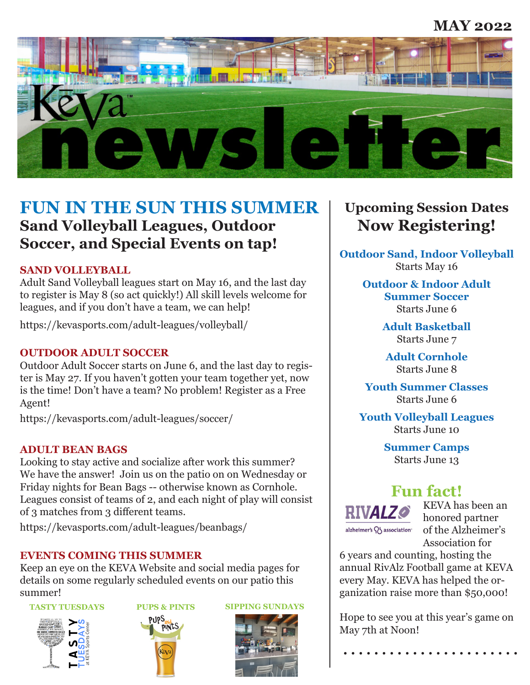### **MAY 2022**



## **FUN IN THE SUN THIS SUMMER Sand Volleyball Leagues, Outdoor Soccer, and Special Events on tap!**

#### **SAND VOLLEYBALL**

Adult Sand Volleyball leagues start on May 16, and the last day to register is May 8 (so act quickly!) All skill levels welcome for leagues, and if you don't have a team, we can help!

https://kevasports.com/adult-leagues/volleyball/

#### **OUTDOOR ADULT SOCCER**

Outdoor Adult Soccer starts on June 6, and the last day to register is May 27. If you haven't gotten your team together yet, now is the time! Don't have a team? No problem! Register as a Free Agent!

https://kevasports.com/adult-leagues/soccer/

#### **ADULT BEAN BAGS**

Looking to stay active and socialize after work this summer? We have the answer! Join us on the patio on on Wednesday or Friday nights for Bean Bags -- otherwise known as Cornhole. Leagues consist of teams of 2, and each night of play will consist of 3 matches from 3 different teams.

https://kevasports.com/adult-leagues/beanbags/

#### **EVENTS COMING THIS SUMMER**

Keep an eye on the KEVA Website and social media pages for details on some regularly scheduled events on our patio this summer!









## **Upcoming Session Dates Now Registering!**

**Outdoor Sand, Indoor Volleyball** Starts May 16

> **Outdoor & Indoor Adult Summer Soccer** Starts June 6

> > **Adult Basketball** Starts June 7

**Adult Cornhole** Starts June 8

**Youth Summer Classes** Starts June 6

**Youth Volleyball Leagues** Starts June 10

> **Summer Camps** Starts June 13

## **Fun fact!**



KEVA has been an honored partner of the Alzheimer's Association for

6 years and counting, hosting the annual RivAlz Football game at KEVA every May. KEVA has helped the organization raise more than \$50,000!

Hope to see you at this year's game on May 7th at Noon!